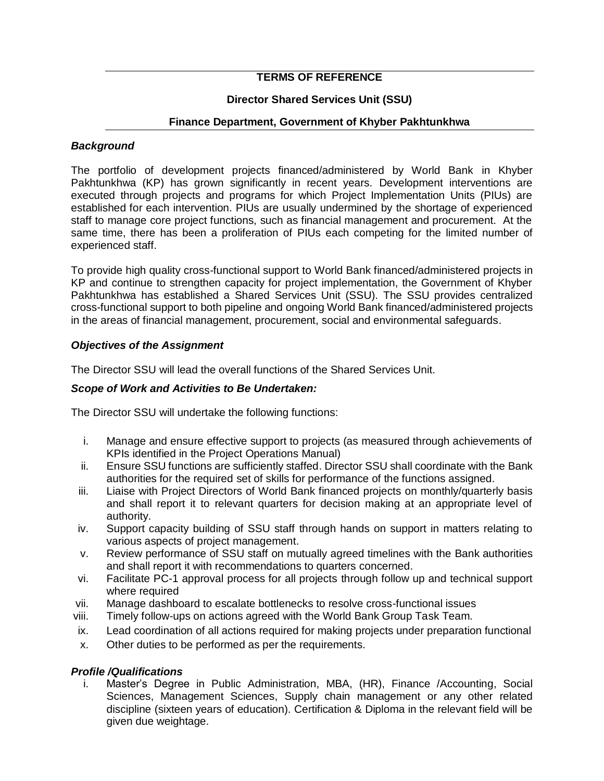# **TERMS OF REFERENCE**

## **Director Shared Services Unit (SSU)**

#### **Finance Department, Government of Khyber Pakhtunkhwa**

#### *Background*

The portfolio of development projects financed/administered by World Bank in Khyber Pakhtunkhwa (KP) has grown significantly in recent years. Development interventions are executed through projects and programs for which Project Implementation Units (PIUs) are established for each intervention. PIUs are usually undermined by the shortage of experienced staff to manage core project functions, such as financial management and procurement. At the same time, there has been a proliferation of PIUs each competing for the limited number of experienced staff.

To provide high quality cross-functional support to World Bank financed/administered projects in KP and continue to strengthen capacity for project implementation, the Government of Khyber Pakhtunkhwa has established a Shared Services Unit (SSU). The SSU provides centralized cross-functional support to both pipeline and ongoing World Bank financed/administered projects in the areas of financial management, procurement, social and environmental safeguards.

## *Objectives of the Assignment*

The Director SSU will lead the overall functions of the Shared Services Unit.

#### *Scope of Work and Activities to Be Undertaken:*

The Director SSU will undertake the following functions:

- i. Manage and ensure effective support to projects (as measured through achievements of KPIs identified in the Project Operations Manual)
- ii. Ensure SSU functions are sufficiently staffed. Director SSU shall coordinate with the Bank authorities for the required set of skills for performance of the functions assigned.
- iii. Liaise with Project Directors of World Bank financed projects on monthly/quarterly basis and shall report it to relevant quarters for decision making at an appropriate level of authority.
- iv. Support capacity building of SSU staff through hands on support in matters relating to various aspects of project management.
- v. Review performance of SSU staff on mutually agreed timelines with the Bank authorities and shall report it with recommendations to quarters concerned.
- vi. Facilitate PC-1 approval process for all projects through follow up and technical support where required
- vii. Manage dashboard to escalate bottlenecks to resolve cross-functional issues
- viii. Timely follow-ups on actions agreed with the World Bank Group Task Team.
- ix. Lead coordination of all actions required for making projects under preparation functional
- x. Other duties to be performed as per the requirements.

#### *Profile /Qualifications*

i. Master's Degree in Public Administration, MBA, (HR), Finance /Accounting, Social Sciences, Management Sciences, Supply chain management or any other related discipline (sixteen years of education). Certification & Diploma in the relevant field will be given due weightage.